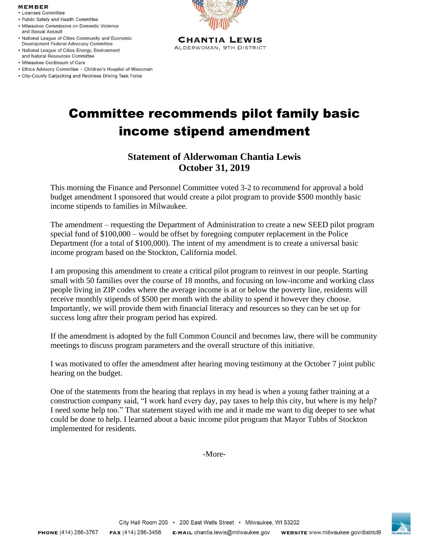## **MEMBER**

- Licenses Committee
- · Public Safety and Health Committee
- · Milwaukee Commission on Domestic Violence and Sexual Assault
- . National League of Cities Community and Economic Development Federal Advocacy Committee
- National League of Cities Energy, Environment and Natural Resources Committee
- · Milwaukee Continuum of Care
- Ethics Advisory Committee Children's Hospital of Wisconsin
- City-County Carjacking and Reckless Driving Task Force



**CHANTIA LEWIS** ALDERWOMAN, 9TH DISTRICT

## Committee recommends pilot family basic income stipend amendment

## **Statement of Alderwoman Chantia Lewis October 31, 2019**

This morning the Finance and Personnel Committee voted 3-2 to recommend for approval a bold budget amendment I sponsored that would create a pilot program to provide \$500 monthly basic income stipends to families in Milwaukee.

The amendment – requesting the Department of Administration to create a new SEED pilot program special fund of \$100,000 – would be offset by foregoing computer replacement in the Police Department (for a total of \$100,000). The intent of my amendment is to create a universal basic income program based on the Stockton, California model.

I am proposing this amendment to create a critical pilot program to reinvest in our people. Starting small with 50 families over the course of 18 months, and focusing on low-income and working class people living in ZIP codes where the average income is at or below the poverty line, residents will receive monthly stipends of \$500 per month with the ability to spend it however they choose. Importantly, we will provide them with financial literacy and resources so they can be set up for success long after their program period has expired.

If the amendment is adopted by the full Common Council and becomes law, there will be community meetings to discuss program parameters and the overall structure of this initiative.

I was motivated to offer the amendment after hearing moving testimony at the October 7 joint public hearing on the budget.

One of the statements from the hearing that replays in my head is when a young father training at a construction company said, "I work hard every day, pay taxes to help this city, but where is my help? I need some help too." That statement stayed with me and it made me want to dig deeper to see what could be done to help. I learned about a basic income pilot program that Mayor Tubbs of Stockton implemented for residents.

-More-